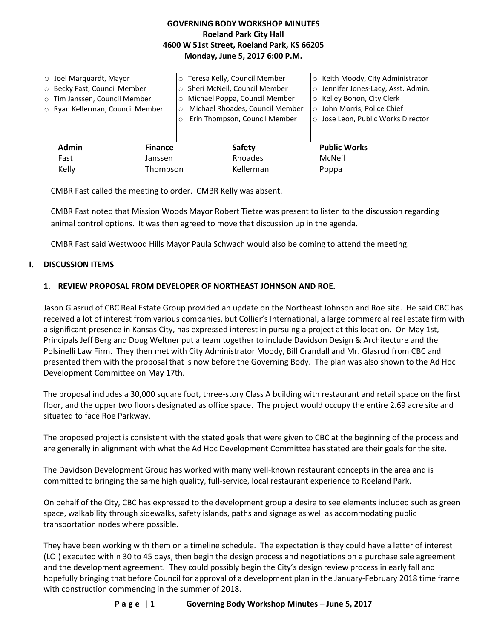## **GOVERNING BODY WORKSHOP MINUTES Roeland Park City Hall 4600 W 51st Street, Roeland Park, KS 66205 Monday, June 5, 2017 6:00 P.M.**

|                   | $\circ$ Joel Marquardt, Mayor<br>o Becky Fast, Council Member<br>o Tim Janssen, Council Member<br>o Ryan Kellerman, Council Member | $\circ$<br>$\circ$<br>$\circ$ | Teresa Kelly, Council Member<br>o Sheri McNeil, Council Member<br>Michael Poppa, Council Member<br>Michael Rhoades, Council Member<br>Erin Thompson, Council Member | ○ Keith Moody, City Administrator<br>o Jennifer Jones-Lacy, Asst. Admin.<br>○ Kelley Bohon, City Clerk<br>o John Morris, Police Chief<br>o Jose Leon, Public Works Director |
|-------------------|------------------------------------------------------------------------------------------------------------------------------------|-------------------------------|---------------------------------------------------------------------------------------------------------------------------------------------------------------------|-----------------------------------------------------------------------------------------------------------------------------------------------------------------------------|
|                   | <b>Admin</b><br><b>Finance</b><br>Fast<br>Janssen                                                                                  |                               | <b>Safety</b><br>Rhoades                                                                                                                                            | <b>Public Works</b><br>McNeil                                                                                                                                               |
| Kelly<br>Thompson |                                                                                                                                    |                               | Kellerman                                                                                                                                                           | Poppa                                                                                                                                                                       |

CMBR Fast called the meeting to order. CMBR Kelly was absent.

CMBR Fast noted that Mission Woods Mayor Robert Tietze was present to listen to the discussion regarding animal control options. It was then agreed to move that discussion up in the agenda.

CMBR Fast said Westwood Hills Mayor Paula Schwach would also be coming to attend the meeting.

#### **I. DISCUSSION ITEMS**

### **1. REVIEW PROPOSAL FROM DEVELOPER OF NORTHEAST JOHNSON AND ROE.**

Jason Glasrud of CBC Real Estate Group provided an update on the Northeast Johnson and Roe site. He said CBC has received a lot of interest from various companies, but Collier's International, a large commercial real estate firm with a significant presence in Kansas City, has expressed interest in pursuing a project at this location. On May 1st, Principals Jeff Berg and Doug Weltner put a team together to include Davidson Design & Architecture and the Polsinelli Law Firm. They then met with City Administrator Moody, Bill Crandall and Mr. Glasrud from CBC and presented them with the proposal that is now before the Governing Body. The plan was also shown to the Ad Hoc Development Committee on May 17th.

The proposal includes a 30,000 square foot, three-story Class A building with restaurant and retail space on the first floor, and the upper two floors designated as office space. The project would occupy the entire 2.69 acre site and situated to face Roe Parkway.

The proposed project is consistent with the stated goals that were given to CBC at the beginning of the process and are generally in alignment with what the Ad Hoc Development Committee has stated are their goals for the site.

The Davidson Development Group has worked with many well-known restaurant concepts in the area and is committed to bringing the same high quality, full-service, local restaurant experience to Roeland Park.

On behalf of the City, CBC has expressed to the development group a desire to see elements included such as green space, walkability through sidewalks, safety islands, paths and signage as well as accommodating public transportation nodes where possible.

They have been working with them on a timeline schedule. The expectation is they could have a letter of interest (LOI) executed within 30 to 45 days, then begin the design process and negotiations on a purchase sale agreement and the development agreement. They could possibly begin the City's design review process in early fall and hopefully bringing that before Council for approval of a development plan in the January-February 2018 time frame with construction commencing in the summer of 2018.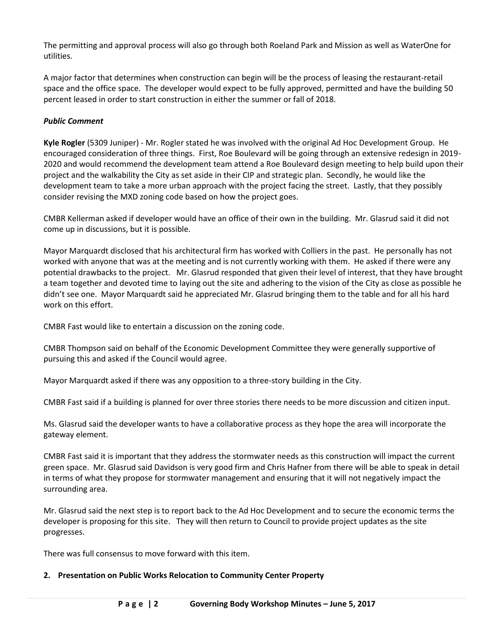The permitting and approval process will also go through both Roeland Park and Mission as well as WaterOne for utilities.

A major factor that determines when construction can begin will be the process of leasing the restaurant-retail space and the office space. The developer would expect to be fully approved, permitted and have the building 50 percent leased in order to start construction in either the summer or fall of 2018.

# *Public Comment*

**Kyle Rogler** (5309 Juniper) - Mr. Rogler stated he was involved with the original Ad Hoc Development Group. He encouraged consideration of three things. First, Roe Boulevard will be going through an extensive redesign in 2019- 2020 and would recommend the development team attend a Roe Boulevard design meeting to help build upon their project and the walkability the City as set aside in their CIP and strategic plan. Secondly, he would like the development team to take a more urban approach with the project facing the street. Lastly, that they possibly consider revising the MXD zoning code based on how the project goes.

CMBR Kellerman asked if developer would have an office of their own in the building. Mr. Glasrud said it did not come up in discussions, but it is possible.

Mayor Marquardt disclosed that his architectural firm has worked with Colliers in the past. He personally has not worked with anyone that was at the meeting and is not currently working with them. He asked if there were any potential drawbacks to the project. Mr. Glasrud responded that given their level of interest, that they have brought a team together and devoted time to laying out the site and adhering to the vision of the City as close as possible he didn't see one. Mayor Marquardt said he appreciated Mr. Glasrud bringing them to the table and for all his hard work on this effort.

CMBR Fast would like to entertain a discussion on the zoning code.

CMBR Thompson said on behalf of the Economic Development Committee they were generally supportive of pursuing this and asked if the Council would agree.

Mayor Marquardt asked if there was any opposition to a three-story building in the City.

CMBR Fast said if a building is planned for over three stories there needs to be more discussion and citizen input.

Ms. Glasrud said the developer wants to have a collaborative process as they hope the area will incorporate the gateway element.

CMBR Fast said it is important that they address the stormwater needs as this construction will impact the current green space. Mr. Glasrud said Davidson is very good firm and Chris Hafner from there will be able to speak in detail in terms of what they propose for stormwater management and ensuring that it will not negatively impact the surrounding area.

Mr. Glasrud said the next step is to report back to the Ad Hoc Development and to secure the economic terms the developer is proposing for this site. They will then return to Council to provide project updates as the site progresses.

There was full consensus to move forward with this item.

#### **2. Presentation on Public Works Relocation to Community Center Property**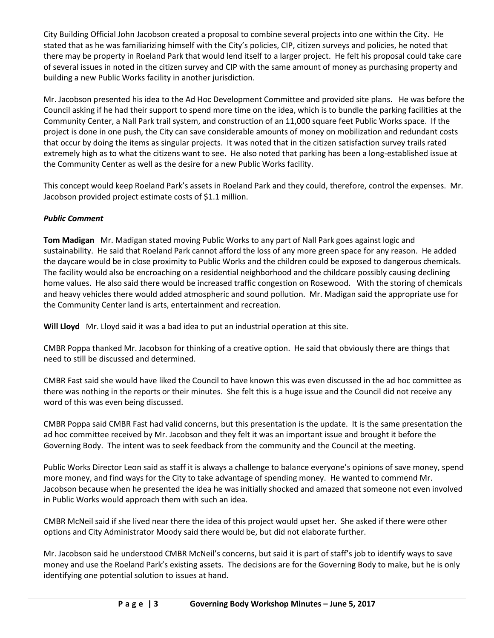City Building Official John Jacobson created a proposal to combine several projects into one within the City. He stated that as he was familiarizing himself with the City's policies, CIP, citizen surveys and policies, he noted that there may be property in Roeland Park that would lend itself to a larger project. He felt his proposal could take care of several issues in noted in the citizen survey and CIP with the same amount of money as purchasing property and building a new Public Works facility in another jurisdiction.

Mr. Jacobson presented his idea to the Ad Hoc Development Committee and provided site plans. He was before the Council asking if he had their support to spend more time on the idea, which is to bundle the parking facilities at the Community Center, a Nall Park trail system, and construction of an 11,000 square feet Public Works space. If the project is done in one push, the City can save considerable amounts of money on mobilization and redundant costs that occur by doing the items as singular projects. It was noted that in the citizen satisfaction survey trails rated extremely high as to what the citizens want to see. He also noted that parking has been a long-established issue at the Community Center as well as the desire for a new Public Works facility.

This concept would keep Roeland Park's assets in Roeland Park and they could, therefore, control the expenses. Mr. Jacobson provided project estimate costs of \$1.1 million.

# *Public Comment*

**Tom Madigan** Mr. Madigan stated moving Public Works to any part of Nall Park goes against logic and sustainability. He said that Roeland Park cannot afford the loss of any more green space for any reason. He added the daycare would be in close proximity to Public Works and the children could be exposed to dangerous chemicals. The facility would also be encroaching on a residential neighborhood and the childcare possibly causing declining home values. He also said there would be increased traffic congestion on Rosewood. With the storing of chemicals and heavy vehicles there would added atmospheric and sound pollution. Mr. Madigan said the appropriate use for the Community Center land is arts, entertainment and recreation.

**Will Lloyd** Mr. Lloyd said it was a bad idea to put an industrial operation at this site.

CMBR Poppa thanked Mr. Jacobson for thinking of a creative option. He said that obviously there are things that need to still be discussed and determined.

CMBR Fast said she would have liked the Council to have known this was even discussed in the ad hoc committee as there was nothing in the reports or their minutes. She felt this is a huge issue and the Council did not receive any word of this was even being discussed.

CMBR Poppa said CMBR Fast had valid concerns, but this presentation is the update. It is the same presentation the ad hoc committee received by Mr. Jacobson and they felt it was an important issue and brought it before the Governing Body. The intent was to seek feedback from the community and the Council at the meeting.

Public Works Director Leon said as staff it is always a challenge to balance everyone's opinions of save money, spend more money, and find ways for the City to take advantage of spending money. He wanted to commend Mr. Jacobson because when he presented the idea he was initially shocked and amazed that someone not even involved in Public Works would approach them with such an idea.

CMBR McNeil said if she lived near there the idea of this project would upset her. She asked if there were other options and City Administrator Moody said there would be, but did not elaborate further.

Mr. Jacobson said he understood CMBR McNeil's concerns, but said it is part of staff's job to identify ways to save money and use the Roeland Park's existing assets. The decisions are for the Governing Body to make, but he is only identifying one potential solution to issues at hand.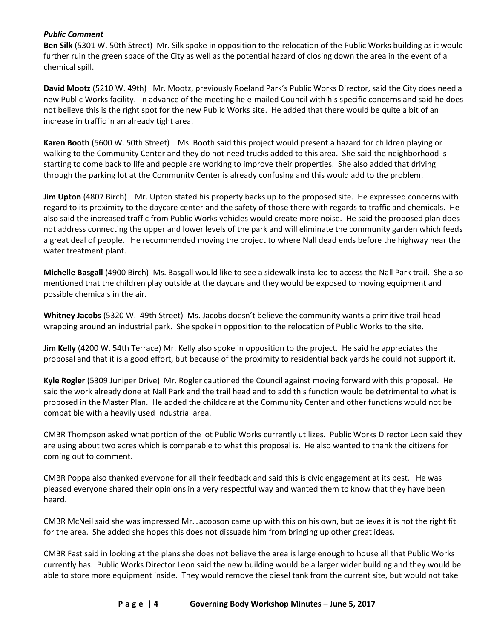### *Public Comment*

**Ben Silk** (5301 W. 50th Street) Mr. Silk spoke in opposition to the relocation of the Public Works building as it would further ruin the green space of the City as well as the potential hazard of closing down the area in the event of a chemical spill.

**David Mootz** (5210 W. 49th) Mr. Mootz, previously Roeland Park's Public Works Director, said the City does need a new Public Works facility. In advance of the meeting he e-mailed Council with his specific concerns and said he does not believe this is the right spot for the new Public Works site. He added that there would be quite a bit of an increase in traffic in an already tight area.

**Karen Booth** (5600 W. 50th Street) Ms. Booth said this project would present a hazard for children playing or walking to the Community Center and they do not need trucks added to this area. She said the neighborhood is starting to come back to life and people are working to improve their properties. She also added that driving through the parking lot at the Community Center is already confusing and this would add to the problem.

**Jim Upton** (4807 Birch) Mr. Upton stated his property backs up to the proposed site. He expressed concerns with regard to its proximity to the daycare center and the safety of those there with regards to traffic and chemicals. He also said the increased traffic from Public Works vehicles would create more noise. He said the proposed plan does not address connecting the upper and lower levels of the park and will eliminate the community garden which feeds a great deal of people. He recommended moving the project to where Nall dead ends before the highway near the water treatment plant.

**Michelle Basgall** (4900 Birch) Ms. Basgall would like to see a sidewalk installed to access the Nall Park trail. She also mentioned that the children play outside at the daycare and they would be exposed to moving equipment and possible chemicals in the air.

**Whitney Jacobs** (5320 W. 49th Street) Ms. Jacobs doesn't believe the community wants a primitive trail head wrapping around an industrial park. She spoke in opposition to the relocation of Public Works to the site.

**Jim Kelly** (4200 W. 54th Terrace) Mr. Kelly also spoke in opposition to the project. He said he appreciates the proposal and that it is a good effort, but because of the proximity to residential back yards he could not support it.

**Kyle Rogler** (5309 Juniper Drive) Mr. Rogler cautioned the Council against moving forward with this proposal. He said the work already done at Nall Park and the trail head and to add this function would be detrimental to what is proposed in the Master Plan. He added the childcare at the Community Center and other functions would not be compatible with a heavily used industrial area.

CMBR Thompson asked what portion of the lot Public Works currently utilizes. Public Works Director Leon said they are using about two acres which is comparable to what this proposal is. He also wanted to thank the citizens for coming out to comment.

CMBR Poppa also thanked everyone for all their feedback and said this is civic engagement at its best. He was pleased everyone shared their opinions in a very respectful way and wanted them to know that they have been heard.

CMBR McNeil said she was impressed Mr. Jacobson came up with this on his own, but believes it is not the right fit for the area. She added she hopes this does not dissuade him from bringing up other great ideas.

CMBR Fast said in looking at the plans she does not believe the area is large enough to house all that Public Works currently has. Public Works Director Leon said the new building would be a larger wider building and they would be able to store more equipment inside. They would remove the diesel tank from the current site, but would not take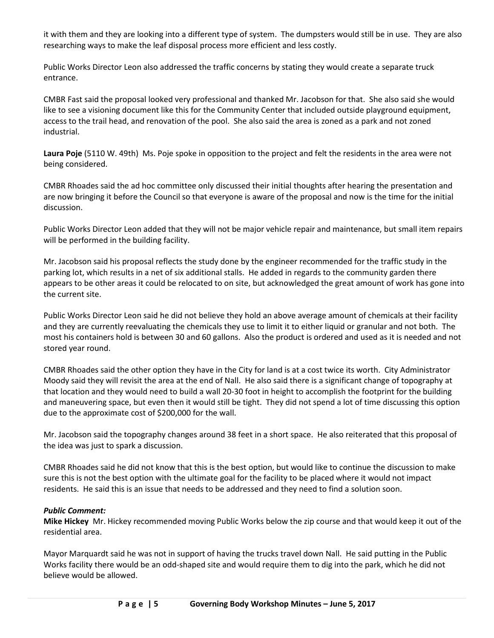it with them and they are looking into a different type of system. The dumpsters would still be in use. They are also researching ways to make the leaf disposal process more efficient and less costly.

Public Works Director Leon also addressed the traffic concerns by stating they would create a separate truck entrance.

CMBR Fast said the proposal looked very professional and thanked Mr. Jacobson for that. She also said she would like to see a visioning document like this for the Community Center that included outside playground equipment, access to the trail head, and renovation of the pool. She also said the area is zoned as a park and not zoned industrial.

**Laura Poje** (5110 W. 49th) Ms. Poje spoke in opposition to the project and felt the residents in the area were not being considered.

CMBR Rhoades said the ad hoc committee only discussed their initial thoughts after hearing the presentation and are now bringing it before the Council so that everyone is aware of the proposal and now is the time for the initial discussion.

Public Works Director Leon added that they will not be major vehicle repair and maintenance, but small item repairs will be performed in the building facility.

Mr. Jacobson said his proposal reflects the study done by the engineer recommended for the traffic study in the parking lot, which results in a net of six additional stalls. He added in regards to the community garden there appears to be other areas it could be relocated to on site, but acknowledged the great amount of work has gone into the current site.

Public Works Director Leon said he did not believe they hold an above average amount of chemicals at their facility and they are currently reevaluating the chemicals they use to limit it to either liquid or granular and not both. The most his containers hold is between 30 and 60 gallons. Also the product is ordered and used as it is needed and not stored year round.

CMBR Rhoades said the other option they have in the City for land is at a cost twice its worth. City Administrator Moody said they will revisit the area at the end of Nall. He also said there is a significant change of topography at that location and they would need to build a wall 20-30 foot in height to accomplish the footprint for the building and maneuvering space, but even then it would still be tight. They did not spend a lot of time discussing this option due to the approximate cost of \$200,000 for the wall.

Mr. Jacobson said the topography changes around 38 feet in a short space. He also reiterated that this proposal of the idea was just to spark a discussion.

CMBR Rhoades said he did not know that this is the best option, but would like to continue the discussion to make sure this is not the best option with the ultimate goal for the facility to be placed where it would not impact residents. He said this is an issue that needs to be addressed and they need to find a solution soon.

## *Public Comment:*

**Mike Hickey** Mr. Hickey recommended moving Public Works below the zip course and that would keep it out of the residential area.

Mayor Marquardt said he was not in support of having the trucks travel down Nall. He said putting in the Public Works facility there would be an odd-shaped site and would require them to dig into the park, which he did not believe would be allowed.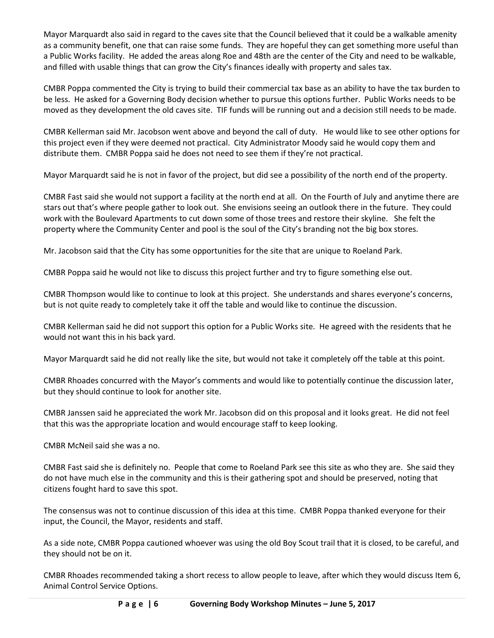Mayor Marquardt also said in regard to the caves site that the Council believed that it could be a walkable amenity as a community benefit, one that can raise some funds. They are hopeful they can get something more useful than a Public Works facility. He added the areas along Roe and 48th are the center of the City and need to be walkable, and filled with usable things that can grow the City's finances ideally with property and sales tax.

CMBR Poppa commented the City is trying to build their commercial tax base as an ability to have the tax burden to be less. He asked for a Governing Body decision whether to pursue this options further. Public Works needs to be moved as they development the old caves site. TIF funds will be running out and a decision still needs to be made.

CMBR Kellerman said Mr. Jacobson went above and beyond the call of duty. He would like to see other options for this project even if they were deemed not practical. City Administrator Moody said he would copy them and distribute them. CMBR Poppa said he does not need to see them if they're not practical.

Mayor Marquardt said he is not in favor of the project, but did see a possibility of the north end of the property.

CMBR Fast said she would not support a facility at the north end at all. On the Fourth of July and anytime there are stars out that's where people gather to look out. She envisions seeing an outlook there in the future. They could work with the Boulevard Apartments to cut down some of those trees and restore their skyline. She felt the property where the Community Center and pool is the soul of the City's branding not the big box stores.

Mr. Jacobson said that the City has some opportunities for the site that are unique to Roeland Park.

CMBR Poppa said he would not like to discuss this project further and try to figure something else out.

CMBR Thompson would like to continue to look at this project. She understands and shares everyone's concerns, but is not quite ready to completely take it off the table and would like to continue the discussion.

CMBR Kellerman said he did not support this option for a Public Works site. He agreed with the residents that he would not want this in his back yard.

Mayor Marquardt said he did not really like the site, but would not take it completely off the table at this point.

CMBR Rhoades concurred with the Mayor's comments and would like to potentially continue the discussion later, but they should continue to look for another site.

CMBR Janssen said he appreciated the work Mr. Jacobson did on this proposal and it looks great. He did not feel that this was the appropriate location and would encourage staff to keep looking.

CMBR McNeil said she was a no.

CMBR Fast said she is definitely no. People that come to Roeland Park see this site as who they are. She said they do not have much else in the community and this is their gathering spot and should be preserved, noting that citizens fought hard to save this spot.

The consensus was not to continue discussion of this idea at this time. CMBR Poppa thanked everyone for their input, the Council, the Mayor, residents and staff.

As a side note, CMBR Poppa cautioned whoever was using the old Boy Scout trail that it is closed, to be careful, and they should not be on it.

CMBR Rhoades recommended taking a short recess to allow people to leave, after which they would discuss Item 6, Animal Control Service Options.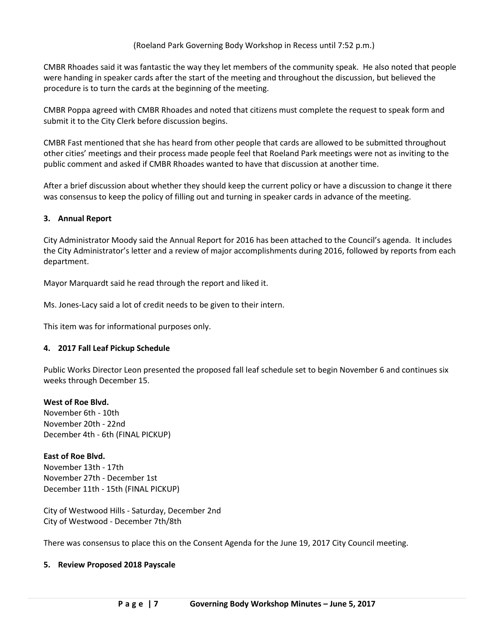CMBR Rhoades said it was fantastic the way they let members of the community speak. He also noted that people were handing in speaker cards after the start of the meeting and throughout the discussion, but believed the procedure is to turn the cards at the beginning of the meeting.

CMBR Poppa agreed with CMBR Rhoades and noted that citizens must complete the request to speak form and submit it to the City Clerk before discussion begins.

CMBR Fast mentioned that she has heard from other people that cards are allowed to be submitted throughout other cities' meetings and their process made people feel that Roeland Park meetings were not as inviting to the public comment and asked if CMBR Rhoades wanted to have that discussion at another time.

After a brief discussion about whether they should keep the current policy or have a discussion to change it there was consensus to keep the policy of filling out and turning in speaker cards in advance of the meeting.

#### **3. Annual Report**

City Administrator Moody said the Annual Report for 2016 has been attached to the Council's agenda. It includes the City Administrator's letter and a review of major accomplishments during 2016, followed by reports from each department.

Mayor Marquardt said he read through the report and liked it.

Ms. Jones-Lacy said a lot of credit needs to be given to their intern.

This item was for informational purposes only.

#### **4. 2017 Fall Leaf Pickup Schedule**

Public Works Director Leon presented the proposed fall leaf schedule set to begin November 6 and continues six weeks through December 15.

#### **West of Roe Blvd.**

November 6th - 10th November 20th - 22nd December 4th - 6th (FINAL PICKUP)

#### **East of Roe Blvd.**

November 13th - 17th November 27th - December 1st December 11th - 15th (FINAL PICKUP)

City of Westwood Hills - Saturday, December 2nd City of Westwood - December 7th/8th

There was consensus to place this on the Consent Agenda for the June 19, 2017 City Council meeting.

#### **5. Review Proposed 2018 Payscale**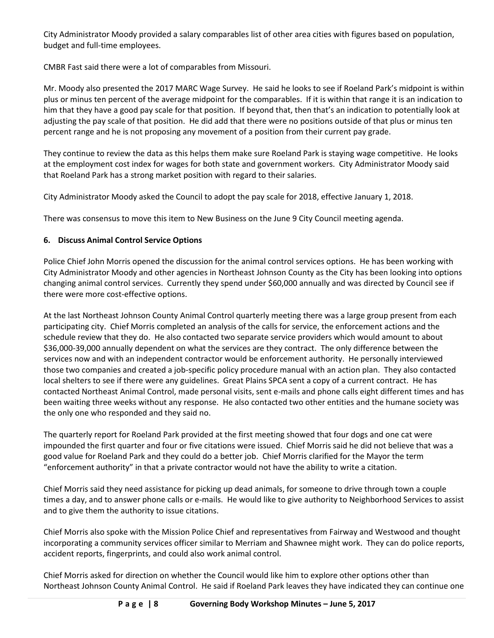City Administrator Moody provided a salary comparables list of other area cities with figures based on population, budget and full-time employees.

CMBR Fast said there were a lot of comparables from Missouri.

Mr. Moody also presented the 2017 MARC Wage Survey. He said he looks to see if Roeland Park's midpoint is within plus or minus ten percent of the average midpoint for the comparables. If it is within that range it is an indication to him that they have a good pay scale for that position. If beyond that, then that's an indication to potentially look at adjusting the pay scale of that position. He did add that there were no positions outside of that plus or minus ten percent range and he is not proposing any movement of a position from their current pay grade.

They continue to review the data as this helps them make sure Roeland Park is staying wage competitive. He looks at the employment cost index for wages for both state and government workers. City Administrator Moody said that Roeland Park has a strong market position with regard to their salaries.

City Administrator Moody asked the Council to adopt the pay scale for 2018, effective January 1, 2018.

There was consensus to move this item to New Business on the June 9 City Council meeting agenda.

# **6. Discuss Animal Control Service Options**

Police Chief John Morris opened the discussion for the animal control services options. He has been working with City Administrator Moody and other agencies in Northeast Johnson County as the City has been looking into options changing animal control services. Currently they spend under \$60,000 annually and was directed by Council see if there were more cost-effective options.

At the last Northeast Johnson County Animal Control quarterly meeting there was a large group present from each participating city. Chief Morris completed an analysis of the calls for service, the enforcement actions and the schedule review that they do. He also contacted two separate service providers which would amount to about \$36,000-39,000 annually dependent on what the services are they contract. The only difference between the services now and with an independent contractor would be enforcement authority. He personally interviewed those two companies and created a job-specific policy procedure manual with an action plan. They also contacted local shelters to see if there were any guidelines. Great Plains SPCA sent a copy of a current contract. He has contacted Northeast Animal Control, made personal visits, sent e-mails and phone calls eight different times and has been waiting three weeks without any response. He also contacted two other entities and the humane society was the only one who responded and they said no.

The quarterly report for Roeland Park provided at the first meeting showed that four dogs and one cat were impounded the first quarter and four or five citations were issued. Chief Morris said he did not believe that was a good value for Roeland Park and they could do a better job. Chief Morris clarified for the Mayor the term "enforcement authority" in that a private contractor would not have the ability to write a citation.

Chief Morris said they need assistance for picking up dead animals, for someone to drive through town a couple times a day, and to answer phone calls or e-mails. He would like to give authority to Neighborhood Services to assist and to give them the authority to issue citations.

Chief Morris also spoke with the Mission Police Chief and representatives from Fairway and Westwood and thought incorporating a community services officer similar to Merriam and Shawnee might work. They can do police reports, accident reports, fingerprints, and could also work animal control.

Chief Morris asked for direction on whether the Council would like him to explore other options other than Northeast Johnson County Animal Control. He said if Roeland Park leaves they have indicated they can continue one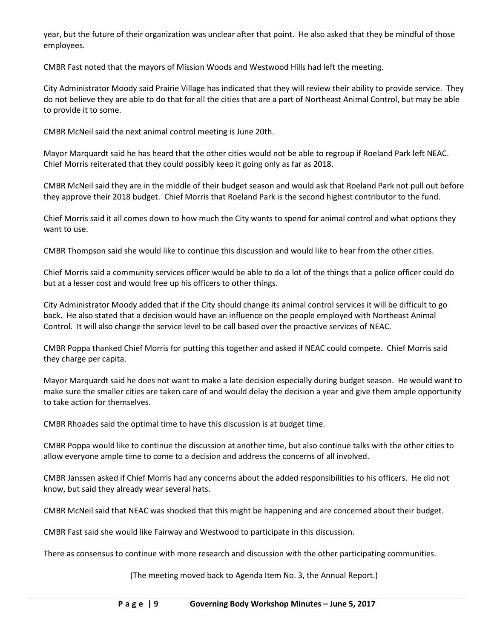year, but the future of their organization was unclear after that point. He also asked that they be mindful of those employees.

CMBR Fast noted that the mayors of Mission Woods and Westwood Hills had left the meeting.

City Administrator Moody said Prairie Village has indicated that they will review their ability to provide service. They do not believe they are able to do that for all the cities that are a part of Northeast Animal Control, but may be able to provide it to some.

CMBR McNeil said the next animal control meeting is June 20th.

Mayor Marquardt said he has heard that the other cities would not be able to regroup if Roeland Park left NEAC. Chief Morris reiterated that they could possibly keep it going only as far as 2018.

CMBR McNeil said they are in the middle of their budget season and would ask that Roeland Park not pull out before they approve their 2018 budget. Chief Morris that Roeland Park is the second highest contributor to the fund.

Chief Morris said it all comes down to how much the City wants to spend for animal control and what options they want to use.

CMBR Thompson said she would like to continue this discussion and would like to hear from the other cities.

Chief Morris said a community services officer would be able to do a lot of the things that a police officer could do but at a lesser cost and would free up his officers to other things.

City Administrator Moody added that if the City should change its animal control services it will be difficult to go back. He also stated that a decision would have an influence on the people employed with Northeast Animal Control. It will also change the service level to be call based over the proactive services of NEAC.

CMBR Poppa thanked Chief Morris for putting this together and asked if NEAC could compete. Chief Morris said they charge per capita.

Mayor Marquardt said he does not want to make a late decision especially during budget season. He would want to make sure the smaller cities are taken care of and would delay the decision a year and give them ample opportunity to take action for themselves.

CMBR Rhoades said the optimal time to have this discussion is at budget time.

CMBR Poppa would like to continue the discussion at another time, but also continue talks with the other cities to allow everyone ample time to come to a decision and address the concerns of all involved.

CMBR Janssen asked if Chief Morris had any concerns about the added responsibilities to his officers. He did not know, but said they already wear several hats.

CMBR McNeil said that NEAC was shocked that this might be happening and are concerned about their budget.

CMBR Fast said she would like Fairway and Westwood to participate in this discussion.

There as consensus to continue with more research and discussion with the other participating communities.

(The meeting moved back to Agenda Item No. 3, the Annual Report.)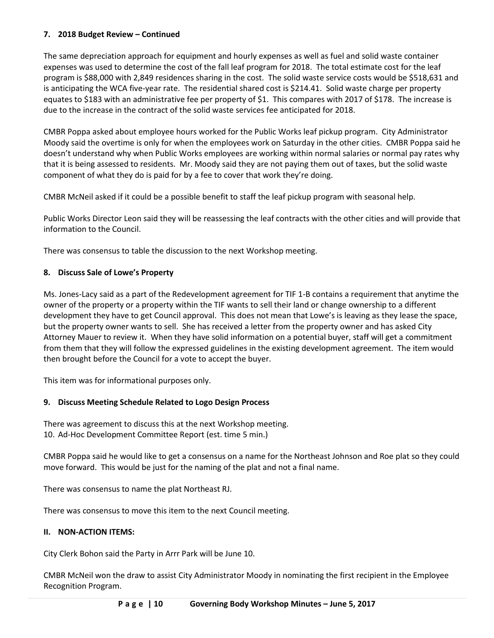### **7. 2018 Budget Review – Continued**

The same depreciation approach for equipment and hourly expenses as well as fuel and solid waste container expenses was used to determine the cost of the fall leaf program for 2018. The total estimate cost for the leaf program is \$88,000 with 2,849 residences sharing in the cost. The solid waste service costs would be \$518,631 and is anticipating the WCA five-year rate. The residential shared cost is \$214.41. Solid waste charge per property equates to \$183 with an administrative fee per property of \$1. This compares with 2017 of \$178. The increase is due to the increase in the contract of the solid waste services fee anticipated for 2018.

CMBR Poppa asked about employee hours worked for the Public Works leaf pickup program. City Administrator Moody said the overtime is only for when the employees work on Saturday in the other cities. CMBR Poppa said he doesn't understand why when Public Works employees are working within normal salaries or normal pay rates why that it is being assessed to residents. Mr. Moody said they are not paying them out of taxes, but the solid waste component of what they do is paid for by a fee to cover that work they're doing.

CMBR McNeil asked if it could be a possible benefit to staff the leaf pickup program with seasonal help.

Public Works Director Leon said they will be reassessing the leaf contracts with the other cities and will provide that information to the Council.

There was consensus to table the discussion to the next Workshop meeting.

### **8. Discuss Sale of Lowe's Property**

Ms. Jones-Lacy said as a part of the Redevelopment agreement for TIF 1-B contains a requirement that anytime the owner of the property or a property within the TIF wants to sell their land or change ownership to a different development they have to get Council approval. This does not mean that Lowe's is leaving as they lease the space, but the property owner wants to sell. She has received a letter from the property owner and has asked City Attorney Mauer to review it. When they have solid information on a potential buyer, staff will get a commitment from them that they will follow the expressed guidelines in the existing development agreement. The item would then brought before the Council for a vote to accept the buyer.

This item was for informational purposes only.

#### **9. Discuss Meeting Schedule Related to Logo Design Process**

There was agreement to discuss this at the next Workshop meeting. 10. Ad-Hoc Development Committee Report (est. time 5 min.)

CMBR Poppa said he would like to get a consensus on a name for the Northeast Johnson and Roe plat so they could move forward. This would be just for the naming of the plat and not a final name.

There was consensus to name the plat Northeast RJ.

There was consensus to move this item to the next Council meeting.

#### **II. NON-ACTION ITEMS:**

City Clerk Bohon said the Party in Arrr Park will be June 10.

CMBR McNeil won the draw to assist City Administrator Moody in nominating the first recipient in the Employee Recognition Program.